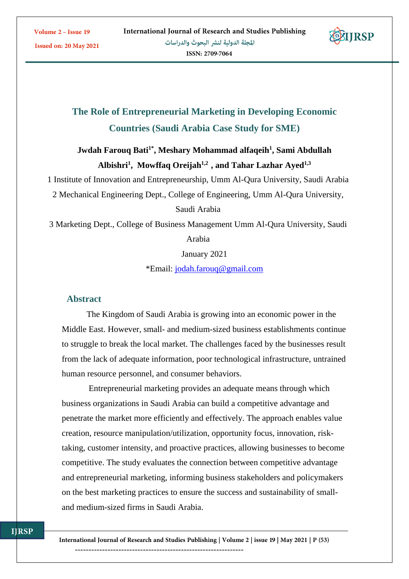**Issued on: 20 May 2021** 



# **The Role of Entrepreneurial Marketing in Developing Economic Countries (Saudi Arabia Case Study for SME)**

# **Jwdah Farouq Bati1\* , Meshary Mohammad alfaqeih<sup>1</sup> , Sami Abdullah Albishri<sup>1</sup> , Mowffaq Oreijah1,2 , and Tahar Lazhar Ayed1,3**

1 Institute of Innovation and Entrepreneurship, Umm Al-Qura University, Saudi Arabia

2 Mechanical Engineering Dept., College of Engineering, Umm Al-Qura University,

Saudi Arabia

3 Marketing Dept., College of Business Management Umm Al-Qura University, Saudi

Arabia

January 2021

\*Email: [jodah.farouq@gmail.com](mailto:jodah.farouq@gmail.com)

## **Abstract**

The Kingdom of Saudi Arabia is growing into an economic power in the Middle East. However, small- and medium-sized business establishments continue to struggle to break the local market. The challenges faced by the businesses result from the lack of adequate information, poor technological infrastructure, untrained human resource personnel, and consumer behaviors.

Entrepreneurial marketing provides an adequate means through which business organizations in Saudi Arabia can build a competitive advantage and penetrate the market more efficiently and effectively. The approach enables value creation, resource manipulation/utilization, opportunity focus, innovation, risktaking, customer intensity, and proactive practices, allowing businesses to become competitive. The study evaluates the connection between competitive advantage and entrepreneurial marketing, informing business stakeholders and policymakers on the best marketing practices to ensure the success and sustainability of smalland medium-sized firms in Saudi Arabia.

International Journal of Research and Studies Publishing | Volume 2 | issue 19 | May 2021 | P (53) --------------------------------------------------------------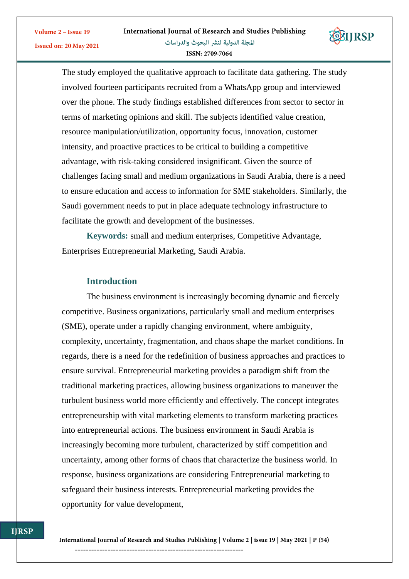

The study employed the qualitative approach to facilitate data gathering. The study involved fourteen participants recruited from a WhatsApp group and interviewed over the phone. The study findings established differences from sector to sector in terms of marketing opinions and skill. The subjects identified value creation, resource manipulation/utilization, opportunity focus, innovation, customer intensity, and proactive practices to be critical to building a competitive advantage, with risk-taking considered insignificant. Given the source of challenges facing small and medium organizations in Saudi Arabia, there is a need to ensure education and access to information for SME stakeholders. Similarly, the Saudi government needs to put in place adequate technology infrastructure to facilitate the growth and development of the businesses.

**Keywords:** small and medium enterprises, Competitive Advantage, Enterprises Entrepreneurial Marketing, Saudi Arabia.

## **Introduction**

Volume 2 - Issue 19

**Issued on: 20 May 2021** 

The business environment is increasingly becoming dynamic and fiercely competitive. Business organizations, particularly small and medium enterprises (SME), operate under a rapidly changing environment, where ambiguity, complexity, uncertainty, fragmentation, and chaos shape the market conditions. In regards, there is a need for the redefinition of business approaches and practices to ensure survival. Entrepreneurial marketing provides a paradigm shift from the traditional marketing practices, allowing business organizations to maneuver the turbulent business world more efficiently and effectively. The concept integrates entrepreneurship with vital marketing elements to transform marketing practices into entrepreneurial actions. The business environment in Saudi Arabia is increasingly becoming more turbulent, characterized by stiff competition and uncertainty, among other forms of chaos that characterize the business world. In response, business organizations are considering Entrepreneurial marketing to safeguard their business interests. Entrepreneurial marketing provides the opportunity for value development,

International Journal of Research and Studies Publishing | Volume 2 | issue 19 | May 2021 | P (54)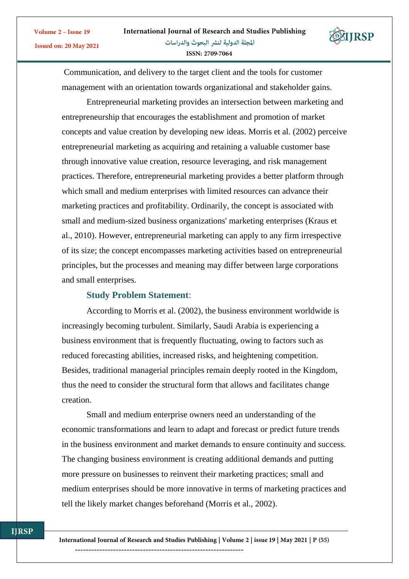Communication, and delivery to the target client and the tools for customer management with an orientation towards organizational and stakeholder gains.

Entrepreneurial marketing provides an intersection between marketing and entrepreneurship that encourages the establishment and promotion of market concepts and value creation by developing new ideas. Morris et al. (2002) perceive entrepreneurial marketing as acquiring and retaining a valuable customer base through innovative value creation, resource leveraging, and risk management practices. Therefore, entrepreneurial marketing provides a better platform through which small and medium enterprises with limited resources can advance their marketing practices and profitability. Ordinarily, the concept is associated with small and medium-sized business organizations' marketing enterprises (Kraus et al., 2010). However, entrepreneurial marketing can apply to any firm irrespective of its size; the concept encompasses marketing activities based on entrepreneurial principles, but the processes and meaning may differ between large corporations and small enterprises.

#### **Study Problem Statement**:

According to Morris et al. (2002), the business environment worldwide is increasingly becoming turbulent. Similarly, Saudi Arabia is experiencing a business environment that is frequently fluctuating, owing to factors such as reduced forecasting abilities, increased risks, and heightening competition. Besides, traditional managerial principles remain deeply rooted in the Kingdom, thus the need to consider the structural form that allows and facilitates change creation.

Small and medium enterprise owners need an understanding of the economic transformations and learn to adapt and forecast or predict future trends in the business environment and market demands to ensure continuity and success. The changing business environment is creating additional demands and putting more pressure on businesses to reinvent their marketing practices; small and medium enterprises should be more innovative in terms of marketing practices and tell the likely market changes beforehand (Morris et al., 2002).

International Journal of Research and Studies Publishing | Volume 2 | issue 19 | May 2021 | P (55)  $-$ 

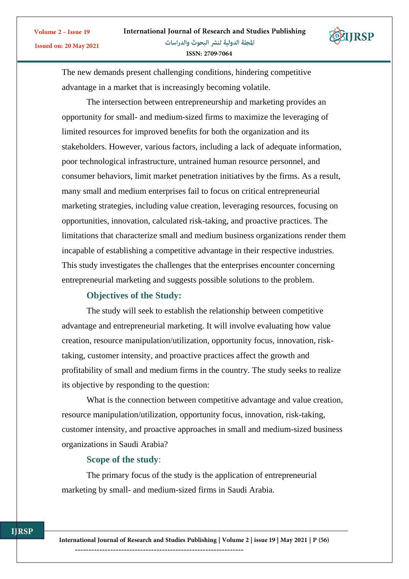

The new demands present challenging conditions, hindering competitive advantage in a market that is increasingly becoming volatile.

The intersection between entrepreneurship and marketing provides an opportunity for small- and medium-sized firms to maximize the leveraging of limited resources for improved benefits for both the organization and its stakeholders. However, various factors, including a lack of adequate information, poor technological infrastructure, untrained human resource personnel, and consumer behaviors, limit market penetration initiatives by the firms. As a result, many small and medium enterprises fail to focus on critical entrepreneurial marketing strategies, including value creation, leveraging resources, focusing on opportunities, innovation, calculated risk-taking, and proactive practices. The limitations that characterize small and medium business organizations render them incapable of establishing a competitive advantage in their respective industries. This study investigates the challenges that the enterprises encounter concerning entrepreneurial marketing and suggests possible solutions to the problem.

#### **Objectives of the Study:**

Volume 2 - Issue 19

**Issued on: 20 May 2021** 

The study will seek to establish the relationship between competitive advantage and entrepreneurial marketing. It will involve evaluating how value creation, resource manipulation/utilization, opportunity focus, innovation, risktaking, customer intensity, and proactive practices affect the growth and profitability of small and medium firms in the country. The study seeks to realize its objective by responding to the question:

What is the connection between competitive advantage and value creation, resource manipulation/utilization, opportunity focus, innovation, risk-taking, customer intensity, and proactive approaches in small and medium-sized business organizations in Saudi Arabia?

## **Scope of the study**:

The primary focus of the study is the application of entrepreneurial marketing by small- and medium-sized firms in Saudi Arabia.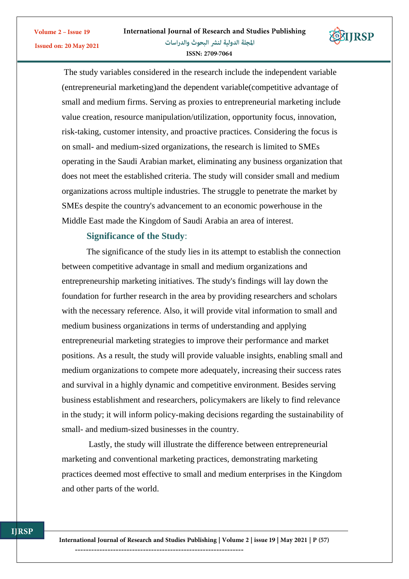

The study variables considered in the research include the independent variable (entrepreneurial marketing)and the dependent variable(competitive advantage of small and medium firms. Serving as proxies to entrepreneurial marketing include value creation, resource manipulation/utilization, opportunity focus, innovation, risk-taking, customer intensity, and proactive practices. Considering the focus is on small- and medium-sized organizations, the research is limited to SMEs operating in the Saudi Arabian market, eliminating any business organization that does not meet the established criteria. The study will consider small and medium organizations across multiple industries. The struggle to penetrate the market by SMEs despite the country's advancement to an economic powerhouse in the Middle East made the Kingdom of Saudi Arabia an area of interest.

## **Significance of the Study**:

Volume 2 - Issue 19

**Issued on: 20 May 2021** 

The significance of the study lies in its attempt to establish the connection between competitive advantage in small and medium organizations and entrepreneurship marketing initiatives. The study's findings will lay down the foundation for further research in the area by providing researchers and scholars with the necessary reference. Also, it will provide vital information to small and medium business organizations in terms of understanding and applying entrepreneurial marketing strategies to improve their performance and market positions. As a result, the study will provide valuable insights, enabling small and medium organizations to compete more adequately, increasing their success rates and survival in a highly dynamic and competitive environment. Besides serving business establishment and researchers, policymakers are likely to find relevance in the study; it will inform policy-making decisions regarding the sustainability of small- and medium-sized businesses in the country.

Lastly, the study will illustrate the difference between entrepreneurial marketing and conventional marketing practices, demonstrating marketing practices deemed most effective to small and medium enterprises in the Kingdom and other parts of the world.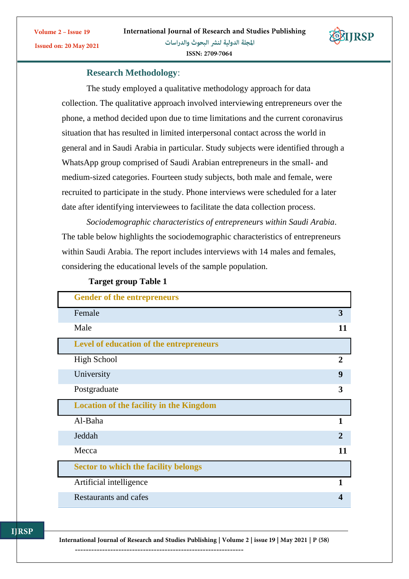

**Research Methodology**:

Volume 2 - Issue 19

**Issued on: 20 May 2021** 

The study employed a qualitative methodology approach for data collection. The qualitative approach involved interviewing entrepreneurs over the phone, a method decided upon due to time limitations and the current coronavirus situation that has resulted in limited interpersonal contact across the world in general and in Saudi Arabia in particular. Study subjects were identified through a WhatsApp group comprised of Saudi Arabian entrepreneurs in the small- and medium-sized categories. Fourteen study subjects, both male and female, were recruited to participate in the study. Phone interviews were scheduled for a later date after identifying interviewees to facilitate the data collection process.

*Sociodemographic characteristics of entrepreneurs within Saudi Arabia*. The table below highlights the sociodemographic characteristics of entrepreneurs within Saudi Arabia. The report includes interviews with 14 males and females, considering the educational levels of the sample population.

| <b>Gender of the entrepreneurs</b>             |                       |
|------------------------------------------------|-----------------------|
| Female                                         | 3                     |
| Male                                           | 11                    |
| Level of education of the entrepreneurs        |                       |
| <b>High School</b>                             | $\mathcal{D}_{\cdot}$ |
| University                                     | $\boldsymbol{9}$      |
| Postgraduate                                   | 3                     |
|                                                |                       |
| <b>Location of the facility in the Kingdom</b> |                       |
| Al-Baha                                        | 1                     |
| Jeddah                                         | $\mathbf{2}$          |
| Mecca                                          | 11                    |
| <b>Sector to which the facility belongs</b>    |                       |
| Artificial intelligence                        | 1                     |

#### **Target group Table 1**

**ITRSP** 

International Journal of Research and Studies Publishing | Volume 2 | issue 19 | May 2021 | P (58)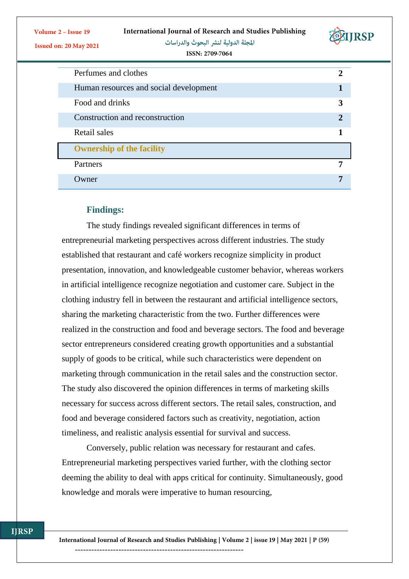| <b>International Journal of Research and Studies Publishing</b> |
|-----------------------------------------------------------------|
|-----------------------------------------------------------------|



المجلة الدولية لنشر البحوث والدراسات



ISSN: 2709-7064

| Perfumes and clothes                   |   |
|----------------------------------------|---|
| Human resources and social development |   |
| Food and drinks                        |   |
| Construction and reconstruction        | 7 |
| Retail sales                           |   |
| <b>Ownership of the facility</b>       |   |
| Partners                               | 7 |
| Owner                                  |   |

# **Findings:**

The study findings revealed significant differences in terms of entrepreneurial marketing perspectives across different industries. The study established that restaurant and café workers recognize simplicity in product presentation, innovation, and knowledgeable customer behavior, whereas workers in artificial intelligence recognize negotiation and customer care. Subject in the clothing industry fell in between the restaurant and artificial intelligence sectors, sharing the marketing characteristic from the two. Further differences were realized in the construction and food and beverage sectors. The food and beverage sector entrepreneurs considered creating growth opportunities and a substantial supply of goods to be critical, while such characteristics were dependent on marketing through communication in the retail sales and the construction sector. The study also discovered the opinion differences in terms of marketing skills necessary for success across different sectors. The retail sales, construction, and food and beverage considered factors such as creativity, negotiation, action timeliness, and realistic analysis essential for survival and success.

Conversely, public relation was necessary for restaurant and cafes. Entrepreneurial marketing perspectives varied further, with the clothing sector deeming the ability to deal with apps critical for continuity. Simultaneously, good knowledge and morals were imperative to human resourcing,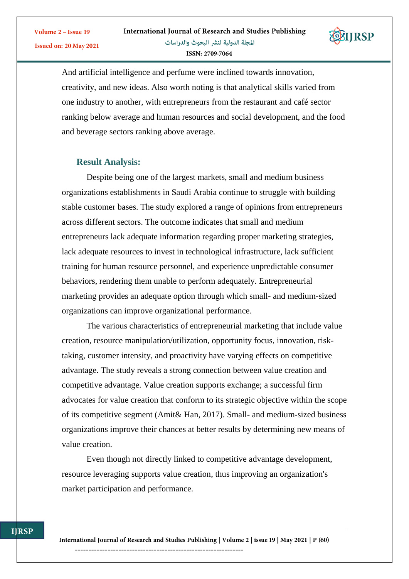

And artificial intelligence and perfume were inclined towards innovation, creativity, and new ideas. Also worth noting is that analytical skills varied from one industry to another, with entrepreneurs from the restaurant and café sector ranking below average and human resources and social development, and the food and beverage sectors ranking above average.

## **Result Analysis:**

Volume 2 - Issue 19

**Issued on: 20 May 2021** 

Despite being one of the largest markets, small and medium business organizations establishments in Saudi Arabia continue to struggle with building stable customer bases. The study explored a range of opinions from entrepreneurs across different sectors. The outcome indicates that small and medium entrepreneurs lack adequate information regarding proper marketing strategies, lack adequate resources to invest in technological infrastructure, lack sufficient training for human resource personnel, and experience unpredictable consumer behaviors, rendering them unable to perform adequately. Entrepreneurial marketing provides an adequate option through which small- and medium-sized organizations can improve organizational performance.

The various characteristics of entrepreneurial marketing that include value creation, resource manipulation/utilization, opportunity focus, innovation, risktaking, customer intensity, and proactivity have varying effects on competitive advantage. The study reveals a strong connection between value creation and competitive advantage. Value creation supports exchange; a successful firm advocates for value creation that conform to its strategic objective within the scope of its competitive segment (Amit& Han, 2017). Small- and medium-sized business organizations improve their chances at better results by determining new means of value creation.

Even though not directly linked to competitive advantage development, resource leveraging supports value creation, thus improving an organization's market participation and performance.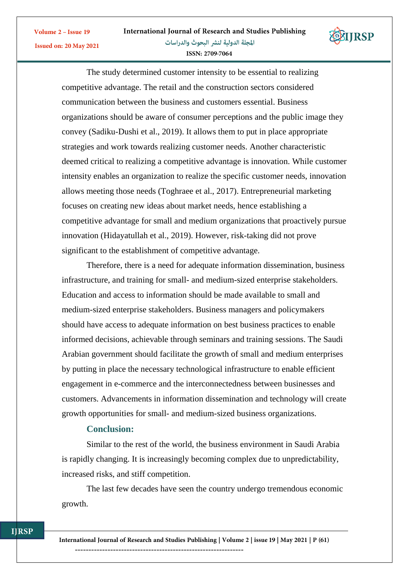

ISSN: 2709-7064

The study determined customer intensity to be essential to realizing competitive advantage. The retail and the construction sectors considered communication between the business and customers essential. Business organizations should be aware of consumer perceptions and the public image they convey (Sadiku-Dushi et al., 2019). It allows them to put in place appropriate strategies and work towards realizing customer needs. Another characteristic deemed critical to realizing a competitive advantage is innovation. While customer intensity enables an organization to realize the specific customer needs, innovation allows meeting those needs (Toghraee et al., 2017). Entrepreneurial marketing focuses on creating new ideas about market needs, hence establishing a competitive advantage for small and medium organizations that proactively pursue innovation (Hidayatullah et al., 2019). However, risk-taking did not prove significant to the establishment of competitive advantage.

Therefore, there is a need for adequate information dissemination, business infrastructure, and training for small- and medium-sized enterprise stakeholders. Education and access to information should be made available to small and medium-sized enterprise stakeholders. Business managers and policymakers should have access to adequate information on best business practices to enable informed decisions, achievable through seminars and training sessions. The Saudi Arabian government should facilitate the growth of small and medium enterprises by putting in place the necessary technological infrastructure to enable efficient engagement in e-commerce and the interconnectedness between businesses and customers. Advancements in information dissemination and technology will create growth opportunities for small- and medium-sized business organizations.

## **Conclusion:**

Volume 2 - Issue 19

**Issued on: 20 May 2021** 

Similar to the rest of the world, the business environment in Saudi Arabia is rapidly changing. It is increasingly becoming complex due to unpredictability, increased risks, and stiff competition.

The last few decades have seen the country undergo tremendous economic growth.

**ITRSP** 

International Journal of Research and Studies Publishing | Volume 2 | issue 19 | May 2021 | P (61)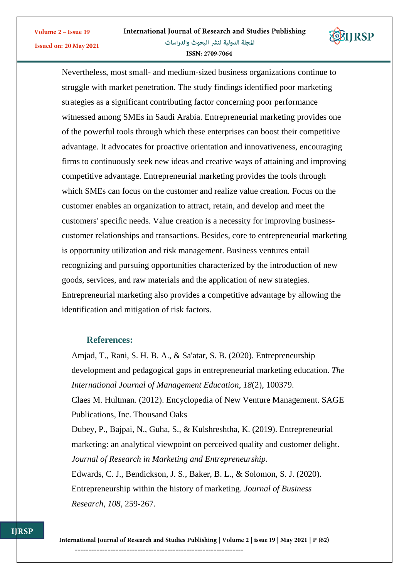

Nevertheless, most small- and medium-sized business organizations continue to struggle with market penetration. The study findings identified poor marketing strategies as a significant contributing factor concerning poor performance witnessed among SMEs in Saudi Arabia. Entrepreneurial marketing provides one of the powerful tools through which these enterprises can boost their competitive advantage. It advocates for proactive orientation and innovativeness, encouraging firms to continuously seek new ideas and creative ways of attaining and improving competitive advantage. Entrepreneurial marketing provides the tools through which SMEs can focus on the customer and realize value creation. Focus on the customer enables an organization to attract, retain, and develop and meet the customers' specific needs. Value creation is a necessity for improving businesscustomer relationships and transactions. Besides, core to entrepreneurial marketing is opportunity utilization and risk management. Business ventures entail recognizing and pursuing opportunities characterized by the introduction of new goods, services, and raw materials and the application of new strategies. Entrepreneurial marketing also provides a competitive advantage by allowing the identification and mitigation of risk factors.

## **References:**

Volume 2 - Issue 19

**Issued on: 20 May 2021** 

*Research*, *108*, 259-267.

Amjad, T., Rani, S. H. B. A., & Sa'atar, S. B. (2020). Entrepreneurship development and pedagogical gaps in entrepreneurial marketing education. *The International Journal of Management Education*, *18*(2), 100379. Claes M. Hultman. (2012). Encyclopedia of New Venture Management. SAGE Publications, Inc. Thousand Oaks Dubey, P., Bajpai, N., Guha, S., & Kulshreshtha, K. (2019). Entrepreneurial marketing: an analytical viewpoint on perceived quality and customer delight. *Journal of Research in Marketing and Entrepreneurship*. Edwards, C. J., Bendickson, J. S., Baker, B. L., & Solomon, S. J. (2020). Entrepreneurship within the history of marketing. *Journal of Business* 

International Journal of Research and Studies Publishing | Volume 2 | issue 19 | May 2021 | P (62)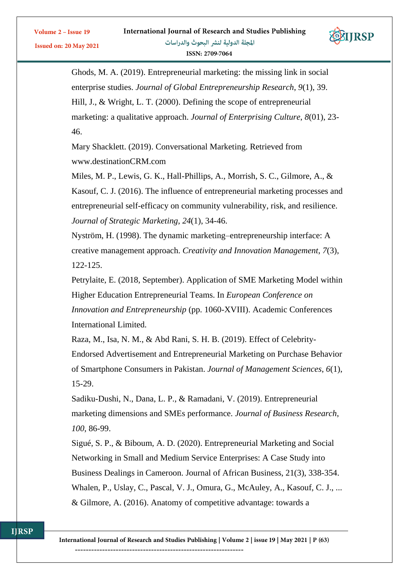

Ghods, M. A. (2019). Entrepreneurial marketing: the missing link in social enterprise studies. *Journal of Global Entrepreneurship Research*, *9*(1), 39. Hill, J., & Wright, L. T. (2000). Defining the scope of entrepreneurial marketing: a qualitative approach. *Journal of Enterprising Culture*, *8*(01), 23- 46.

Mary Shacklett. (2019). Conversational Marketing. Retrieved from www.destinationCRM.com

Miles, M. P., Lewis, G. K., Hall-Phillips, A., Morrish, S. C., Gilmore, A., & Kasouf, C. J. (2016). The influence of entrepreneurial marketing processes and entrepreneurial self-efficacy on community vulnerability, risk, and resilience. *Journal of Strategic Marketing*, *24*(1), 34-46.

Nyström, H. (1998). The dynamic marketing–entrepreneurship interface: A creative management approach. *Creativity and Innovation Management*, *7*(3), 122-125.

Petrylaite, E. (2018, September). Application of SME Marketing Model within Higher Education Entrepreneurial Teams. In *European Conference on Innovation and Entrepreneurship* (pp. 1060-XVIII). Academic Conferences International Limited.

Raza, M., Isa, N. M., & Abd Rani, S. H. B. (2019). Effect of Celebrity-Endorsed Advertisement and Entrepreneurial Marketing on Purchase Behavior of Smartphone Consumers in Pakistan. *Journal of Management Sciences*, *6*(1), 15-29.

Sadiku-Dushi, N., Dana, L. P., & Ramadani, V. (2019). Entrepreneurial marketing dimensions and SMEs performance. *Journal of Business Research*, *100*, 86-99.

Sigué, S. P., & Biboum, A. D. (2020). Entrepreneurial Marketing and Social Networking in Small and Medium Service Enterprises: A Case Study into Business Dealings in Cameroon. Journal of African Business, 21(3), 338-354. Whalen, P., Uslay, C., Pascal, V. J., Omura, G., McAuley, A., Kasouf, C. J., ... & Gilmore, A. (2016). Anatomy of competitive advantage: towards a



Volume 2 - Issue 19

**Issued on: 20 May 2021**